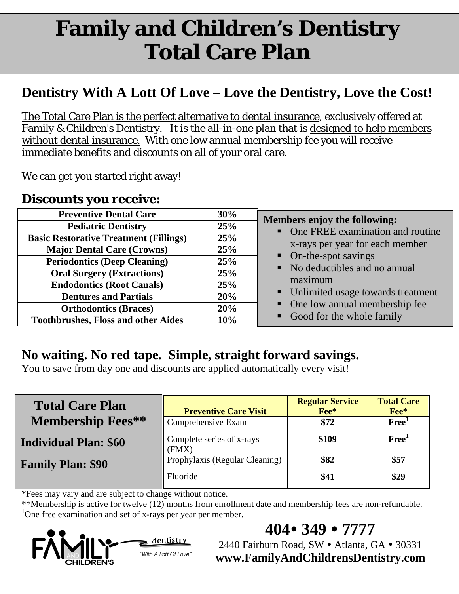# **Family and Children's Dentistry Total Care Plan**

# **Dentistry With A Lott Of Love – Love the Dentistry, Love the Cost!**

The Total Care Plan is the perfect alternative to dental insurance, exclusively offered at Family & Children's Dentistry. It is the all-in-one plan that is designed to help members without dental insurance. With one low annual membership fee you will receive immediate benefits and discounts on all of your oral care.

We can get you started right away!

### **Discounts you receive:**

| <b>Preventive Dental Care</b>                 | 30% |                                                                                                                                       |  |
|-----------------------------------------------|-----|---------------------------------------------------------------------------------------------------------------------------------------|--|
| <b>Pediatric Dentistry</b>                    | 25% | <b>Members enjoy the following:</b><br>• One FREE examination and routine<br>x-rays per year for each member<br>• On-the-spot savings |  |
| <b>Basic Restorative Treatment (Fillings)</b> | 25% |                                                                                                                                       |  |
| <b>Major Dental Care (Crowns)</b>             | 25% |                                                                                                                                       |  |
| <b>Periodontics (Deep Cleaning)</b>           | 25% |                                                                                                                                       |  |
| <b>Oral Surgery (Extractions)</b>             | 25% | • No deductibles and no annual                                                                                                        |  |
| <b>Endodontics (Root Canals)</b>              | 25% | maximum<br>• Unlimited usage towards treatment<br>• One low annual membership fee                                                     |  |
| <b>Dentures and Partials</b>                  | 20% |                                                                                                                                       |  |
| <b>Orthodontics (Braces)</b>                  | 20% |                                                                                                                                       |  |
| <b>Toothbrushes, Floss and other Aides</b>    | 10% | • Good for the whole family                                                                                                           |  |

## **No waiting. No red tape. Simple, straight forward savings.**

You to save from day one and discounts are applied automatically every visit!

| <b>Total Care Plan</b>       | <b>Preventive Care Visit</b>       | <b>Regular Service</b><br>Fee* | <b>Total Care</b><br>Fee* |
|------------------------------|------------------------------------|--------------------------------|---------------------------|
| <b>Membership Fees**</b>     | Comprehensive Exam                 | \$72                           | Free <sup>1</sup>         |
| <b>Individual Plan: \$60</b> | Complete series of x-rays<br>(FMX) | \$109                          | Free <sup>1</sup>         |
| <b>Family Plan: \$90</b>     | Prophylaxis (Regular Cleaning)     | \$82                           | \$57                      |
|                              | Fluoride                           | \$41                           | \$29                      |

\*Fees may vary and are subject to change without notice.

\*\*Membership is active for twelve (12) months from enrollment date and membership fees are non-refundable. <sup>1</sup>One free examination and set of x-rays per year per member.



**404 349 7777** 

2440 Fairburn Road, SW · Atlanta, GA · 30331 **www.FamilyAndChildrensDentistry.com**